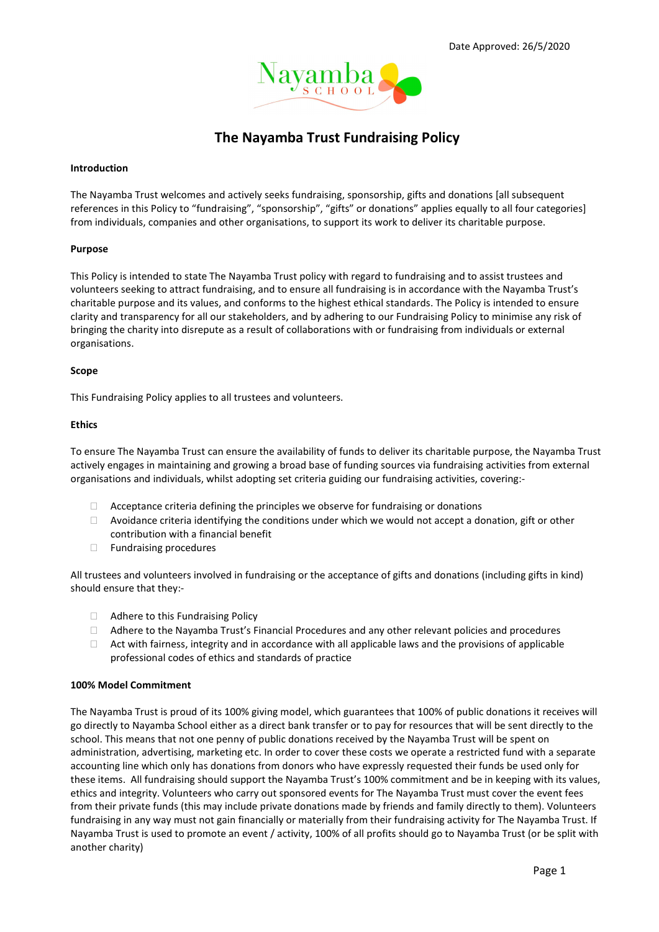

# The Nayamba Trust Fundraising Policy

## Introduction

The Nayamba Trust welcomes and actively seeks fundraising, sponsorship, gifts and donations [all subsequent references in this Policy to "fundraising", "sponsorship", "gifts" or donations" applies equally to all four categories] from individuals, companies and other organisations, to support its work to deliver its charitable purpose.

## Purpose

This Policy is intended to state The Nayamba Trust policy with regard to fundraising and to assist trustees and volunteers seeking to attract fundraising, and to ensure all fundraising is in accordance with the Nayamba Trust's charitable purpose and its values, and conforms to the highest ethical standards. The Policy is intended to ensure clarity and transparency for all our stakeholders, and by adhering to our Fundraising Policy to minimise any risk of bringing the charity into disrepute as a result of collaborations with or fundraising from individuals or external organisations.

## Scope

This Fundraising Policy applies to all trustees and volunteers.

## Ethics

To ensure The Nayamba Trust can ensure the availability of funds to deliver its charitable purpose, the Nayamba Trust actively engages in maintaining and growing a broad base of funding sources via fundraising activities from external organisations and individuals, whilst adopting set criteria guiding our fundraising activities, covering:-

- $\Box$  Acceptance criteria defining the principles we observe for fundraising or donations
- $\Box$  Avoidance criteria identifying the conditions under which we would not accept a donation, gift or other contribution with a financial benefit
- $\Box$  Fundraising procedures

All trustees and volunteers involved in fundraising or the acceptance of gifts and donations (including gifts in kind) should ensure that they:-

- □ Adhere to this Fundraising Policy
- $\Box$  Adhere to the Nayamba Trust's Financial Procedures and any other relevant policies and procedures
- $\Box$  Act with fairness, integrity and in accordance with all applicable laws and the provisions of applicable professional codes of ethics and standards of practice

## 100% Model Commitment

The Nayamba Trust is proud of its 100% giving model, which guarantees that 100% of public donations it receives will go directly to Nayamba School either as a direct bank transfer or to pay for resources that will be sent directly to the school. This means that not one penny of public donations received by the Nayamba Trust will be spent on administration, advertising, marketing etc. In order to cover these costs we operate a restricted fund with a separate accounting line which only has donations from donors who have expressly requested their funds be used only for these items. All fundraising should support the Nayamba Trust's 100% commitment and be in keeping with its values, ethics and integrity. Volunteers who carry out sponsored events for The Nayamba Trust must cover the event fees from their private funds (this may include private donations made by friends and family directly to them). Volunteers fundraising in any way must not gain financially or materially from their fundraising activity for The Nayamba Trust. If Nayamba Trust is used to promote an event / activity, 100% of all profits should go to Nayamba Trust (or be split with another charity)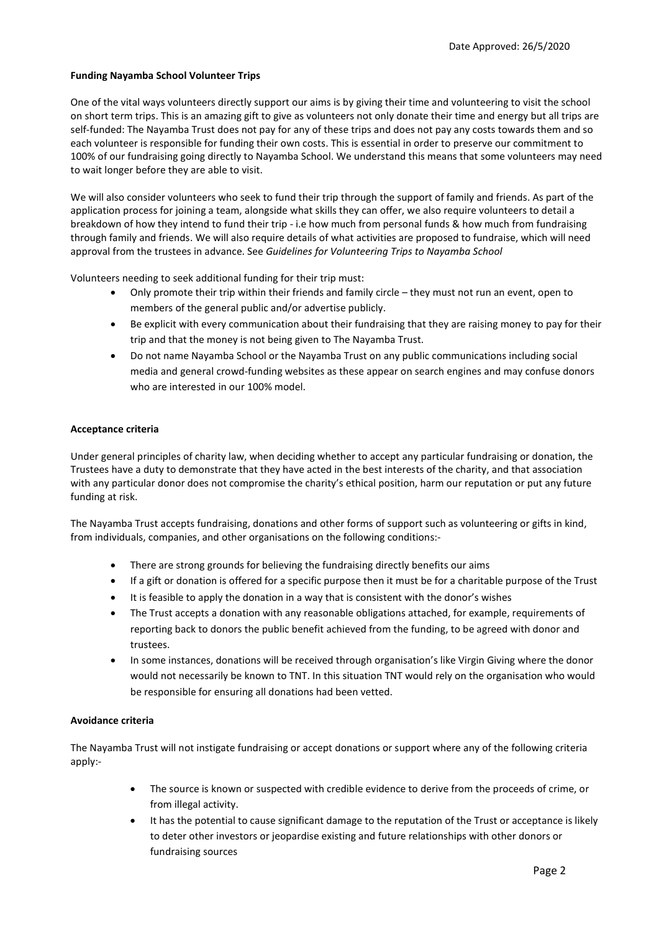## Funding Nayamba School Volunteer Trips

One of the vital ways volunteers directly support our aims is by giving their time and volunteering to visit the school on short term trips. This is an amazing gift to give as volunteers not only donate their time and energy but all trips are self-funded: The Nayamba Trust does not pay for any of these trips and does not pay any costs towards them and so each volunteer is responsible for funding their own costs. This is essential in order to preserve our commitment to 100% of our fundraising going directly to Nayamba School. We understand this means that some volunteers may need to wait longer before they are able to visit.

We will also consider volunteers who seek to fund their trip through the support of family and friends. As part of the application process for joining a team, alongside what skills they can offer, we also require volunteers to detail a breakdown of how they intend to fund their trip - i.e how much from personal funds & how much from fundraising through family and friends. We will also require details of what activities are proposed to fundraise, which will need approval from the trustees in advance. See Guidelines for Volunteering Trips to Nayamba School

Volunteers needing to seek additional funding for their trip must:

- Only promote their trip within their friends and family circle they must not run an event, open to members of the general public and/or advertise publicly.
- Be explicit with every communication about their fundraising that they are raising money to pay for their trip and that the money is not being given to The Nayamba Trust.
- Do not name Nayamba School or the Nayamba Trust on any public communications including social media and general crowd-funding websites as these appear on search engines and may confuse donors who are interested in our 100% model

## Acceptance criteria

Under general principles of charity law, when deciding whether to accept any particular fundraising or donation, the Trustees have a duty to demonstrate that they have acted in the best interests of the charity, and that association with any particular donor does not compromise the charity's ethical position, harm our reputation or put any future funding at risk.

The Nayamba Trust accepts fundraising, donations and other forms of support such as volunteering or gifts in kind, from individuals, companies, and other organisations on the following conditions:-

- There are strong grounds for believing the fundraising directly benefits our aims
- If a gift or donation is offered for a specific purpose then it must be for a charitable purpose of the Trust
- It is feasible to apply the donation in a way that is consistent with the donor's wishes
- The Trust accepts a donation with any reasonable obligations attached, for example, requirements of reporting back to donors the public benefit achieved from the funding, to be agreed with donor and trustees.
- In some instances, donations will be received through organisation's like Virgin Giving where the donor would not necessarily be known to TNT. In this situation TNT would rely on the organisation who would be responsible for ensuring all donations had been vetted.

## Avoidance criteria

The Nayamba Trust will not instigate fundraising or accept donations or support where any of the following criteria apply:-

- The source is known or suspected with credible evidence to derive from the proceeds of crime, or from illegal activity.
- It has the potential to cause significant damage to the reputation of the Trust or acceptance is likely to deter other investors or jeopardise existing and future relationships with other donors or fundraising sources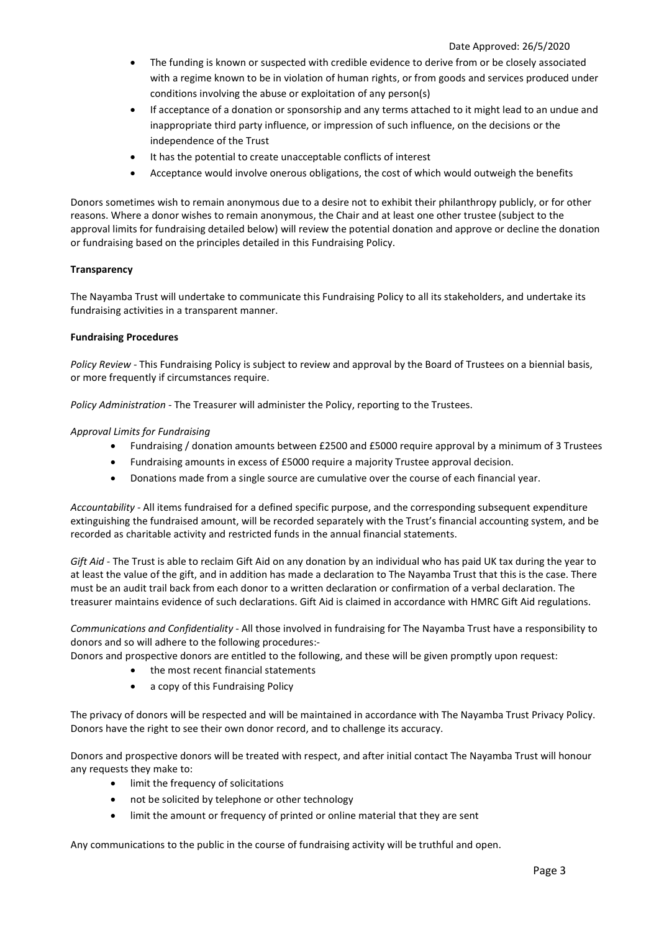- The funding is known or suspected with credible evidence to derive from or be closely associated with a regime known to be in violation of human rights, or from goods and services produced under conditions involving the abuse or exploitation of any person(s)
- If acceptance of a donation or sponsorship and any terms attached to it might lead to an undue and inappropriate third party influence, or impression of such influence, on the decisions or the independence of the Trust
- It has the potential to create unacceptable conflicts of interest
- Acceptance would involve onerous obligations, the cost of which would outweigh the benefits

Donors sometimes wish to remain anonymous due to a desire not to exhibit their philanthropy publicly, or for other reasons. Where a donor wishes to remain anonymous, the Chair and at least one other trustee (subject to the approval limits for fundraising detailed below) will review the potential donation and approve or decline the donation or fundraising based on the principles detailed in this Fundraising Policy.

## **Transparency**

The Nayamba Trust will undertake to communicate this Fundraising Policy to all its stakeholders, and undertake its fundraising activities in a transparent manner.

## Fundraising Procedures

Policy Review - This Fundraising Policy is subject to review and approval by the Board of Trustees on a biennial basis, or more frequently if circumstances require.

Policy Administration - The Treasurer will administer the Policy, reporting to the Trustees.

## Approval Limits for Fundraising

- Fundraising / donation amounts between £2500 and £5000 require approval by a minimum of 3 Trustees
- Fundraising amounts in excess of £5000 require a majority Trustee approval decision.
- Donations made from a single source are cumulative over the course of each financial year.

Accountability - All items fundraised for a defined specific purpose, and the corresponding subsequent expenditure extinguishing the fundraised amount, will be recorded separately with the Trust's financial accounting system, and be recorded as charitable activity and restricted funds in the annual financial statements.

Gift Aid - The Trust is able to reclaim Gift Aid on any donation by an individual who has paid UK tax during the year to at least the value of the gift, and in addition has made a declaration to The Nayamba Trust that this is the case. There must be an audit trail back from each donor to a written declaration or confirmation of a verbal declaration. The treasurer maintains evidence of such declarations. Gift Aid is claimed in accordance with HMRC Gift Aid regulations.

Communications and Confidentiality - All those involved in fundraising for The Nayamba Trust have a responsibility to donors and so will adhere to the following procedures:-

Donors and prospective donors are entitled to the following, and these will be given promptly upon request:

- the most recent financial statements
- a copy of this Fundraising Policy

The privacy of donors will be respected and will be maintained in accordance with The Nayamba Trust Privacy Policy. Donors have the right to see their own donor record, and to challenge its accuracy.

Donors and prospective donors will be treated with respect, and after initial contact The Nayamba Trust will honour any requests they make to:

- limit the frequency of solicitations
- not be solicited by telephone or other technology
- limit the amount or frequency of printed or online material that they are sent

Any communications to the public in the course of fundraising activity will be truthful and open.